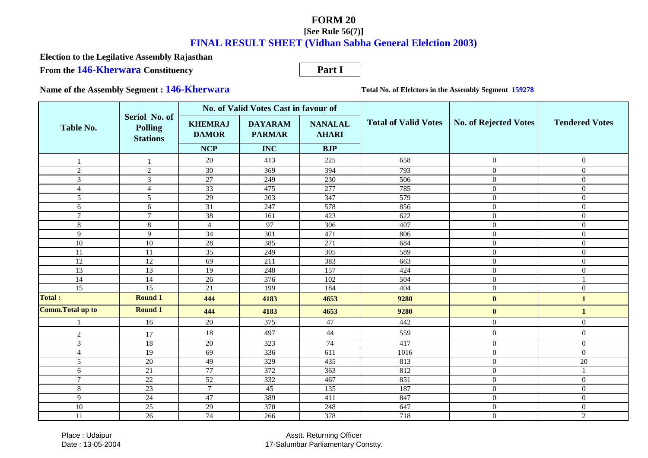**From the 146-Kherwara Constituency Election to the Legilative Assembly Rajasthan**

**Part I**

**Name of the Assembly Segment : 146-Kherwara**

**Total No. of Elelctors in the Assembly Segment 159278**

|                          |                                                    |                                | No. of Valid Votes Cast in favour of |                                |                             |                       |                       |
|--------------------------|----------------------------------------------------|--------------------------------|--------------------------------------|--------------------------------|-----------------------------|-----------------------|-----------------------|
| Table No.                | Seriol No. of<br><b>Polling</b><br><b>Stations</b> | <b>KHEMRAJ</b><br><b>DAMOR</b> | <b>DAYARAM</b><br><b>PARMAR</b>      | <b>NANALAL</b><br><b>AHARI</b> | <b>Total of Valid Votes</b> | No. of Rejected Votes | <b>Tendered Votes</b> |
|                          |                                                    | <b>NCP</b>                     | <b>INC</b>                           | <b>BJP</b>                     |                             |                       |                       |
|                          |                                                    | 20                             | 413                                  | 225                            | 658                         | $\overline{0}$        | $\boldsymbol{0}$      |
| $\overline{2}$           | $\overline{2}$                                     | 30                             | 369                                  | 394                            | 793                         | $\Omega$              | $\mathbf{0}$          |
| 3                        | 3                                                  | 27                             | 249                                  | 230                            | 506                         | $\overline{0}$        | $\overline{0}$        |
| $\overline{4}$           | 4                                                  | $\overline{33}$                | 475                                  | 277                            | 785                         | $\mathbf{0}$          | $\overline{0}$        |
| 5                        | 5                                                  | 29                             | 203                                  | 347                            | 579                         | $\Omega$              | $\boldsymbol{0}$      |
| 6                        | 6                                                  | 31                             | 247                                  | 578                            | 856                         | $\overline{0}$        | $\boldsymbol{0}$      |
| $\overline{7}$           | $\overline{7}$                                     | 38                             | 161                                  | 423                            | 622                         | $\overline{0}$        | $\mathbf{0}$          |
| $\,8\,$                  | 8                                                  | $\overline{4}$                 | 97                                   | 306                            | 407                         | $\overline{0}$        | $\boldsymbol{0}$      |
| 9                        | 9                                                  | $\overline{34}$                | 301                                  | 471                            | 806                         | $\overline{0}$        | $\overline{0}$        |
| 10                       | 10                                                 | 28                             | 385                                  | 271                            | 684                         | $\mathbf{0}$          | $\overline{0}$        |
| 11                       | 11                                                 | $\overline{35}$                | 249                                  | 305                            | 589                         | $\Omega$              | $\mathbf{0}$          |
| 12                       | 12                                                 | 69                             | 211                                  | 383                            | 663                         | $\mathbf{0}$          | $\overline{0}$        |
| 13                       | 13                                                 | 19                             | 248                                  | 157                            | 424                         | $\Omega$              | $\overline{0}$        |
| 14                       | 14                                                 | 26                             | 376                                  | 102                            | 504                         | $\Omega$              |                       |
| $\overline{15}$          | $\overline{15}$                                    | 21                             | 199                                  | 184                            | 404                         | $\overline{0}$        | $\boldsymbol{0}$      |
| Total :                  | <b>Round 1</b>                                     | 444                            | 4183                                 | 4653                           | 9280                        | $\mathbf{0}$          | $\mathbf{1}$          |
| <b>Comm. Total up to</b> | <b>Round 1</b>                                     | 444                            | 4183                                 | 4653                           | 9280                        | $\bf{0}$              | $\mathbf{1}$          |
|                          | 16                                                 | $20\,$                         | 375                                  | 47                             | 442                         | $\boldsymbol{0}$      | $\boldsymbol{0}$      |
| $\overline{2}$           | 17                                                 | 18                             | 497                                  | 44                             | 559                         | $\overline{0}$        | $\boldsymbol{0}$      |
| $\overline{3}$           | 18                                                 | 20                             | 323                                  | 74                             | 417                         | $\overline{0}$        | $\overline{0}$        |
| $\overline{4}$           | 19                                                 | 69                             | 336                                  | 611                            | 1016                        | $\overline{0}$        | $\boldsymbol{0}$      |
| 5                        | $20\,$                                             | 49                             | 329                                  | 435                            | 813                         | $\overline{0}$        | 20                    |
| 6                        | 21                                                 | $77\,$                         | 372                                  | 363                            | 812                         | $\Omega$              |                       |
| $7\phantom{.0}$          | 22                                                 | 52                             | 332                                  | 467                            | 851                         | $\overline{0}$        | $\mathbf{0}$          |
| $\,$ 8 $\,$              | $\overline{23}$                                    | $\overline{7}$                 | 45                                   | 135                            | 187                         | $\mathbf{0}$          | $\overline{0}$        |
| 9                        | 24                                                 | 47                             | 389                                  | 411                            | 847                         | $\Omega$              | $\overline{0}$        |
| $\overline{10}$          | $\overline{25}$                                    | $\overline{29}$                | 370                                  | 248                            | 647                         | $\boldsymbol{0}$      | $\overline{0}$        |
| 11                       | 26                                                 | 74                             | 266                                  | 378                            | 718                         | $\overline{0}$        | $\overline{2}$        |

 Place : UdaipurDate : 13-05-2004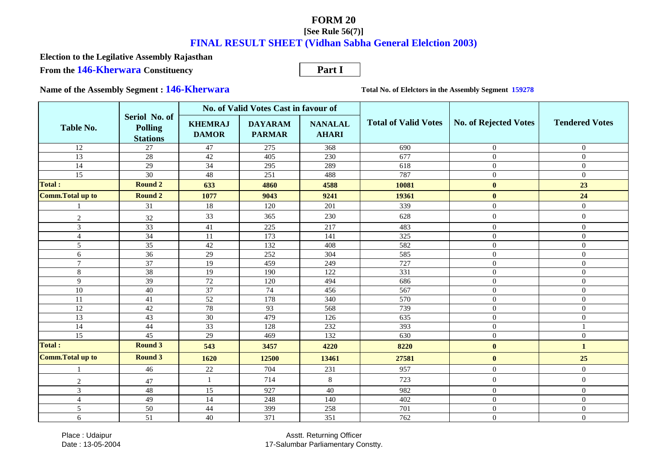**From the 146-Kherwara Constituency Election to the Legilative Assembly Rajasthan**

**Part I**

**Name of the Assembly Segment : 146-Kherwara**

**Total No. of Elelctors in the Assembly Segment 159278**

|                          |                                                    |                                | No. of Valid Votes Cast in favour of |                                |                             |                              |                       |
|--------------------------|----------------------------------------------------|--------------------------------|--------------------------------------|--------------------------------|-----------------------------|------------------------------|-----------------------|
| <b>Table No.</b>         | Seriol No. of<br><b>Polling</b><br><b>Stations</b> | <b>KHEMRAJ</b><br><b>DAMOR</b> | <b>DAYARAM</b><br><b>PARMAR</b>      | <b>NANALAL</b><br><b>AHARI</b> | <b>Total of Valid Votes</b> | <b>No. of Rejected Votes</b> | <b>Tendered Votes</b> |
| 12                       | 27                                                 | 47                             | 275                                  | 368                            | 690                         | $\mathbf{0}$                 | $\overline{0}$        |
| $\overline{13}$          | 28                                                 | $\overline{42}$                | 405                                  | 230                            | 677                         | $\mathbf{0}$                 | $\Omega$              |
| $\overline{14}$          | $\overline{29}$                                    | 34                             | 295                                  | 289                            | 618                         | $\mathbf{0}$                 | $\overline{0}$        |
| 15                       | $\overline{30}$                                    | 48                             | 251                                  | 488                            | 787                         | $\overline{0}$               | $\overline{0}$        |
| <b>Total:</b>            | <b>Round 2</b>                                     | 633                            | 4860                                 | 4588                           | 10081                       | $\bf{0}$                     | 23                    |
| <b>Comm. Total up to</b> | <b>Round 2</b>                                     | 1077                           | 9043                                 | 9241                           | 19361                       | $\bf{0}$                     | 24                    |
|                          | 31                                                 | 18                             | 120                                  | 201                            | 339                         | $\mathbf{0}$                 | $\overline{0}$        |
| $\boldsymbol{2}$         | 32                                                 | 33                             | 365                                  | 230                            | 628                         | $\boldsymbol{0}$             | $\boldsymbol{0}$      |
| 3                        | $\overline{33}$                                    | 41                             | 225                                  | 217                            | 483                         | $\overline{0}$               | $\overline{0}$        |
| $\overline{4}$           | 34                                                 | 11                             | 173                                  | 141                            | 325                         | $\boldsymbol{0}$             | $\overline{0}$        |
| 5                        | 35                                                 | 42                             | 132                                  | 408                            | 582                         | $\mathbf{0}$                 | $\Omega$              |
| 6                        | 36                                                 | 29                             | 252                                  | 304                            | 585                         | $\mathbf{0}$                 | $\Omega$              |
| $\tau$                   | $\overline{37}$                                    | 19                             | 459                                  | 249                            | 727                         | $\theta$                     | $\Omega$              |
| 8                        | 38                                                 | 19                             | 190                                  | 122                            | 331                         | $\mathbf{0}$                 | $\boldsymbol{0}$      |
| 9                        | $\overline{39}$                                    | $\overline{72}$                | 120                                  | 494                            | 686                         | $\mathbf{0}$                 | $\boldsymbol{0}$      |
| $10\,$                   | 40                                                 | 37                             | 74                                   | 456                            | 567                         | $\mathbf{0}$                 | $\overline{0}$        |
| 11                       | 41                                                 | 52                             | 178                                  | 340                            | 570                         | $\mathbf{0}$                 | $\Omega$              |
| 12                       | $42\,$                                             | 78                             | 93                                   | 568                            | 739                         | $\mathbf{0}$                 | $\overline{0}$        |
| 13                       | 43                                                 | 30                             | 479                                  | 126                            | 635                         | $\mathbf{0}$                 | $\Omega$              |
| 14                       | 44                                                 | 33                             | 128                                  | 232                            | 393                         | $\mathbf{0}$                 |                       |
| $\overline{15}$          | 45                                                 | 29                             | 469                                  | 132                            | 630                         | $\theta$                     | $\Omega$              |
| Total :                  | <b>Round 3</b>                                     | 543                            | 3457                                 | 4220                           | 8220                        | $\mathbf{0}$                 | 1                     |
| Comm.Total up to         | <b>Round 3</b>                                     | 1620                           | 12500                                | 13461                          | 27581                       | $\bf{0}$                     | 25                    |
|                          | 46                                                 | $22\,$                         | 704                                  | 231                            | 957                         | $\overline{0}$               | $\overline{0}$        |
| $\overline{2}$           | 47                                                 |                                | 714                                  | 8                              | 723                         | $\mathbf{0}$                 | $\overline{0}$        |
| 3                        | 48                                                 | 15                             | 927                                  | 40                             | 982                         | $\overline{0}$               | $\Omega$              |
| $\overline{4}$           | 49                                                 | 14                             | 248                                  | 140                            | 402                         | $\mathbf{0}$                 | $\boldsymbol{0}$      |
| 5                        | 50                                                 | 44                             | 399                                  | 258                            | 701                         | $\mathbf{0}$                 | $\overline{0}$        |
| 6                        | 51                                                 | 40                             | 371                                  | 351                            | 762                         | $\overline{0}$               | $\overline{0}$        |

 Place : UdaipurDate : 13-05-2004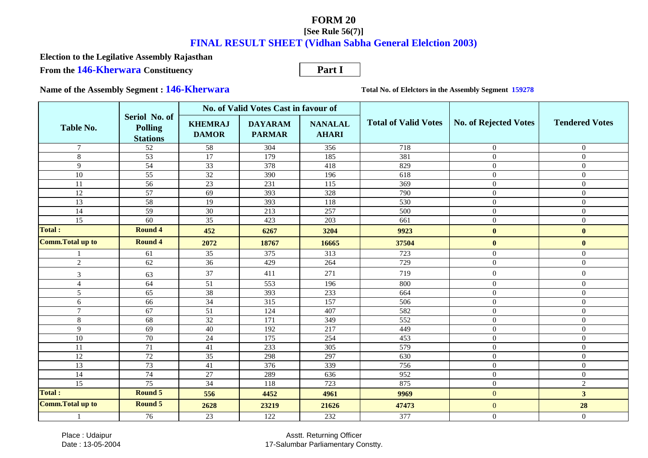**From the 146-Kherwara Constituency Election to the Legilative Assembly Rajasthan**

**Part I**

**Name of the Assembly Segment : 146-Kherwara**

**Total No. of Elelctors in the Assembly Segment 159278**

|                          |                                                    | No. of Valid Votes Cast in favour of |                                 |                                |                             |                       |                       |
|--------------------------|----------------------------------------------------|--------------------------------------|---------------------------------|--------------------------------|-----------------------------|-----------------------|-----------------------|
| Table No.                | Seriol No. of<br><b>Polling</b><br><b>Stations</b> | <b>KHEMRAJ</b><br><b>DAMOR</b>       | <b>DAYARAM</b><br><b>PARMAR</b> | <b>NANALAL</b><br><b>AHARI</b> | <b>Total of Valid Votes</b> | No. of Rejected Votes | <b>Tendered Votes</b> |
| $\tau$                   | 52                                                 | 58                                   | 304                             | 356                            | 718                         | $\overline{0}$        | $\overline{0}$        |
| $8\,$                    | 53                                                 | $\overline{17}$                      | 179                             | 185                            | 381                         | $\theta$              | $\overline{0}$        |
| 9                        | 54                                                 | $\overline{33}$                      | 378                             | 418                            | 829                         | $\Omega$              | $\mathbf{0}$          |
| $\overline{10}$          | $\overline{55}$                                    | 32                                   | 390                             | 196                            | 618                         | $\overline{0}$        | $\overline{0}$        |
| 11                       | 56                                                 | 23                                   | 231                             | 115                            | 369                         | $\Omega$              | $\Omega$              |
| 12                       | 57                                                 | 69                                   | 393                             | 328                            | 790                         | $\mathbf{0}$          | $\mathbf{0}$          |
| 13                       | 58                                                 | 19                                   | 393                             | 118                            | 530                         | $\Omega$              | $\Omega$              |
| 14                       | 59                                                 | $\overline{30}$                      | 213                             | 257                            | 500                         | $\theta$              | $\Omega$              |
| 15                       | 60                                                 | 35                                   | 423                             | 203                            | 661                         | $\mathbf{0}$          | $\boldsymbol{0}$      |
| Total :                  | <b>Round 4</b>                                     | 452                                  | 6267                            | 3204                           | 9923                        | $\bf{0}$              | $\bf{0}$              |
| <b>Comm. Total up to</b> | <b>Round 4</b>                                     | 2072                                 | 18767                           | 16665                          | 37504                       | $\mathbf{0}$          | $\mathbf{0}$          |
|                          | 61                                                 | 35                                   | 375                             | 313                            | 723                         | $\mathbf{0}$          | $\mathbf{0}$          |
| $\overline{2}$           | 62                                                 | $\overline{36}$                      | 429                             | 264                            | 729                         | $\mathbf{0}$          | $\overline{0}$        |
| 3                        | 63                                                 | 37                                   | 411                             | 271                            | 719                         | $\boldsymbol{0}$      | $\boldsymbol{0}$      |
| $\overline{4}$           | 64                                                 | 51                                   | $\overline{553}$                | 196                            | 800                         | $\mathbf{0}$          | $\mathbf{0}$          |
| 5                        | 65                                                 | 38                                   | 393                             | 233                            | 664                         | $\overline{0}$        | $\boldsymbol{0}$      |
| 6                        | 66                                                 | 34                                   | $\overline{315}$                | 157                            | $\overline{506}$            | $\mathbf{0}$          | $\mathbf{0}$          |
| $\overline{7}$           | 67                                                 | 51                                   | 124                             | 407                            | 582                         | $\Omega$              | $\overline{0}$        |
| $8\,$                    | 68                                                 | 32                                   | 171                             | 349                            | 552                         | $\Omega$              | $\Omega$              |
| 9                        | 69                                                 | 40                                   | 192                             | 217                            | 449                         | $\mathbf{0}$          | $\mathbf{0}$          |
| $10\,$                   | 70                                                 | 24                                   | 175                             | 254                            | 453                         | $\Omega$              | $\Omega$              |
| 11                       | 71                                                 | 41                                   | 233                             | 305                            | 579                         | $\Omega$              | $\Omega$              |
| 12                       | $\overline{72}$                                    | $\overline{35}$                      | 298                             | 297                            | 630                         | $\theta$              | $\boldsymbol{0}$      |
| 13                       | $\overline{73}$                                    | 41                                   | 376                             | 339                            | 756                         | $\overline{0}$        | $\mathbf{0}$          |
| $\overline{14}$          | 74                                                 | $\overline{27}$                      | 289                             | 636                            | 952                         | $\mathbf{0}$          | $\mathbf{0}$          |
| 15                       | $\overline{75}$                                    | 34                                   | 118                             | 723                            | 875                         | $\Omega$              | $\overline{2}$        |
| <b>Total:</b>            | <b>Round 5</b>                                     | 556                                  | 4452                            | 4961                           | 9969                        | $\overline{0}$        | 3 <sup>1</sup>        |
| <b>Comm. Total up to</b> | <b>Round 5</b>                                     | 2628                                 | 23219                           | 21626                          | 47473                       | $\overline{0}$        | 28                    |
|                          | 76                                                 | 23                                   | 122                             | 232                            | 377                         | $\overline{0}$        | $\overline{0}$        |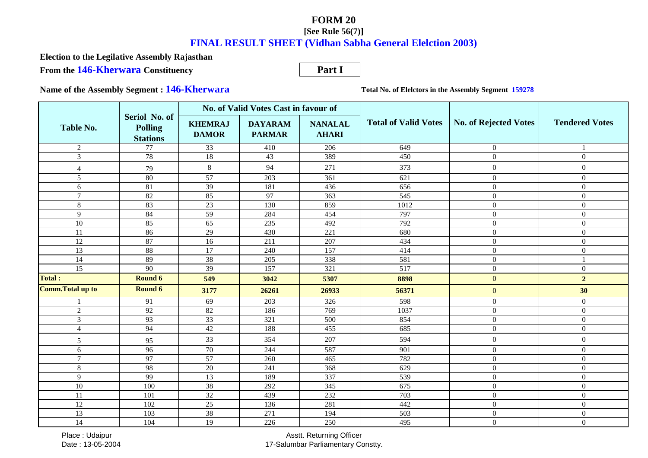**From the 146-Kherwara Constituency Election to the Legilative Assembly Rajasthan**

**Part I**

**Name of the Assembly Segment : 146-Kherwara**

**Total No. of Elelctors in the Assembly Segment 159278**

|                          |                                                    |                                | No. of Valid Votes Cast in favour of |                                |                             |                              |                       |
|--------------------------|----------------------------------------------------|--------------------------------|--------------------------------------|--------------------------------|-----------------------------|------------------------------|-----------------------|
| <b>Table No.</b>         | Seriol No. of<br><b>Polling</b><br><b>Stations</b> | <b>KHEMRAJ</b><br><b>DAMOR</b> | <b>DAYARAM</b><br><b>PARMAR</b>      | <b>NANALAL</b><br><b>AHARI</b> | <b>Total of Valid Votes</b> | <b>No. of Rejected Votes</b> | <b>Tendered Votes</b> |
| $\overline{2}$           | 77                                                 | 33                             | 410                                  | 206                            | 649                         | $\overline{0}$               |                       |
| $\overline{3}$           | 78                                                 | $\overline{18}$                | $\overline{43}$                      | 389                            | 450                         | $\Omega$                     | $\overline{0}$        |
| $\overline{4}$           | 79                                                 | $\,8\,$                        | 94                                   | 271                            | 373                         | $\overline{0}$               | $\mathbf{0}$          |
| 5                        | 80                                                 | 57                             | 203                                  | 361                            | 621                         | $\Omega$                     | $\Omega$              |
| 6                        | 81                                                 | $\overline{39}$                | 181                                  | 436                            | 656                         | $\Omega$                     | $\Omega$              |
| $\tau$                   | 82                                                 | 85                             | 97                                   | 363                            | 545                         | $\overline{0}$               | $\mathbf{0}$          |
| 8                        | 83                                                 | 23                             | 130                                  | 859                            | 1012                        | $\overline{0}$               | $\mathbf{0}$          |
| 9                        | 84                                                 | 59                             | 284                                  | 454                            | 797                         | $\mathbf{0}$                 | $\boldsymbol{0}$      |
| 10                       | 85                                                 | 65                             | 235                                  | 492                            | 792                         | $\overline{0}$               | $\mathbf{0}$          |
| 11                       | 86                                                 | 29                             | 430                                  | 221                            | 680                         | $\overline{0}$               | $\mathbf{0}$          |
| 12                       | 87                                                 | 16                             | 211                                  | 207                            | 434                         | $\overline{0}$               | $\mathbf{0}$          |
| 13                       | 88                                                 | 17                             | 240                                  | 157                            | 414                         | $\overline{0}$               | $\boldsymbol{0}$      |
| 14                       | 89                                                 | 38                             | 205                                  | 338                            | 581                         | $\overline{0}$               |                       |
| 15                       | 90                                                 | 39                             | 157                                  | 321                            | $\overline{517}$            | $\mathbf{0}$                 | $\overline{0}$        |
| <b>Total:</b>            | Round 6                                            | 549                            | 3042                                 | 5307                           | 8898                        | $\overline{0}$               | $\overline{2}$        |
| <b>Comm. Total up to</b> | <b>Round 6</b>                                     | 3177                           | 26261                                | 26933                          | 56371                       | $\mathbf{0}$                 | 30                    |
|                          | 91                                                 | 69                             | 203                                  | 326                            | 598                         | $\overline{0}$               | $\boldsymbol{0}$      |
| $\sqrt{2}$               | $92\,$                                             | 82                             | 186                                  | 769                            | 1037                        | $\overline{0}$               | $\mathbf{0}$          |
| $\mathfrak{Z}$           | 93                                                 | $\overline{33}$                | 321                                  | 500                            | 854                         | $\overline{0}$               | $\boldsymbol{0}$      |
| $\overline{4}$           | 94                                                 | 42                             | 188                                  | 455                            | 685                         | $\overline{0}$               | $\overline{0}$        |
| 5                        | 95                                                 | 33                             | 354                                  | 207                            | 594                         | $\boldsymbol{0}$             | $\boldsymbol{0}$      |
| 6                        | 96                                                 | 70                             | 244                                  | 587                            | 901                         | $\Omega$                     | $\overline{0}$        |
| $\tau$                   | 97                                                 | 57                             | 260                                  | 465                            | 782                         | $\overline{0}$               | $\overline{0}$        |
| $8\,$                    | 98                                                 | 20                             | 241                                  | 368                            | 629                         | $\overline{0}$               | $\mathbf{0}$          |
| 9                        | 99                                                 | 13                             | 189                                  | 337                            | 539                         | $\overline{0}$               | $\mathbf{0}$          |
| $10\,$                   | 100                                                | 38                             | 292                                  | 345                            | 675                         | $\mathbf{0}$                 | $\overline{0}$        |
| 11                       | 101                                                | 32                             | 439                                  | 232                            | 703                         | $\mathbf{0}$                 | $\overline{0}$        |
| 12                       | 102                                                | 25                             | 136                                  | 281                            | 442                         | $\Omega$                     | $\boldsymbol{0}$      |
| 13                       | 103                                                | 38                             | 271                                  | 194                            | 503                         | $\overline{0}$               | $\boldsymbol{0}$      |
| 14                       | 104                                                | 19                             | 226                                  | 250                            | 495                         | $\overline{0}$               | $\overline{0}$        |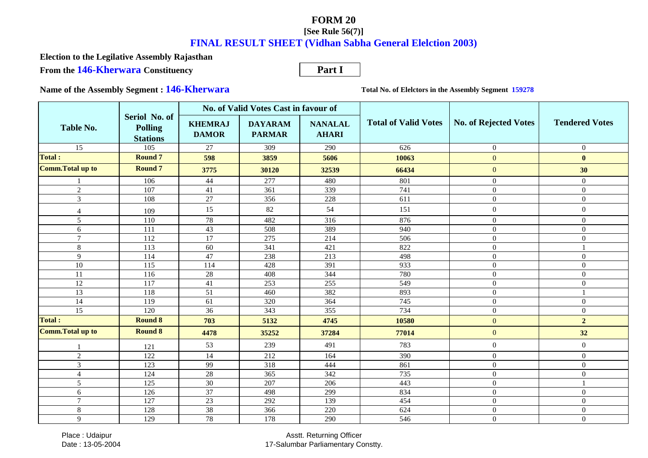**From the 146-Kherwara Constituency Election to the Legilative Assembly Rajasthan**

**Part I**

**Name of the Assembly Segment : 146-Kherwara**

**Total No. of Elelctors in the Assembly Segment 159278**

| <b>Table No.</b>         |                                                    | No. of Valid Votes Cast in favour of |                                 |                                |                             |                              |                       |
|--------------------------|----------------------------------------------------|--------------------------------------|---------------------------------|--------------------------------|-----------------------------|------------------------------|-----------------------|
|                          | Seriol No. of<br><b>Polling</b><br><b>Stations</b> | <b>KHEMRAJ</b><br><b>DAMOR</b>       | <b>DAYARAM</b><br><b>PARMAR</b> | <b>NANALAL</b><br><b>AHARI</b> | <b>Total of Valid Votes</b> | <b>No. of Rejected Votes</b> | <b>Tendered Votes</b> |
| $\overline{15}$          | $\overline{105}$                                   | 27                                   | 309                             | 290                            | 626                         | $\overline{0}$               | $\overline{0}$        |
| Total :                  | <b>Round 7</b>                                     | 598                                  | 3859                            | 5606                           | 10063                       | $\Omega$                     | $\mathbf{0}$          |
| <b>Comm. Total up to</b> | <b>Round 7</b>                                     | 3775                                 | 30120                           | 32539                          | 66434                       | $\mathbf{0}$                 | 30                    |
|                          | 106                                                | 44                                   | 277                             | 480                            | 801                         | $\overline{0}$               | $\overline{0}$        |
| $\overline{2}$           | 107                                                | 41                                   | 361                             | 339                            | 741                         | $\overline{0}$               | $\overline{0}$        |
| $\overline{3}$           | 108                                                | 27                                   | 356                             | 228                            | 611                         | $\overline{0}$               | $\overline{0}$        |
| $\overline{4}$           | 109                                                | 15                                   | 82                              | 54                             | 151                         | $\overline{0}$               | $\overline{0}$        |
| 5                        | 110                                                | 78                                   | 482                             | 316                            | 876                         | $\overline{0}$               | $\overline{0}$        |
| 6                        | 111                                                | 43                                   | 508                             | 389                            | 940                         | $\Omega$                     | $\overline{0}$        |
| $\tau$                   | 112                                                | $\overline{17}$                      | 275                             | 214                            | 506                         | $\mathbf{0}$                 | $\boldsymbol{0}$      |
| 8                        | 113                                                | 60                                   | 341                             | 421                            | 822                         | $\overline{0}$               |                       |
| 9                        | 114                                                | 47                                   | 238                             | 213                            | 498                         | $\overline{0}$               | $\overline{0}$        |
| 10                       | 115                                                | 114                                  | 428                             | 391                            | 933                         | $\overline{0}$               | $\overline{0}$        |
| 11                       | 116                                                | 28                                   | 408                             | 344                            | 780                         | $\overline{0}$               | $\overline{0}$        |
| 12                       | 117                                                | 41                                   | 253                             | 255                            | 549                         | $\mathbf{0}$                 | $\overline{0}$        |
| 13                       | 118                                                | 51                                   | 460                             | 382                            | 893                         | $\overline{0}$               |                       |
| 14                       | 119                                                | 61                                   | 320                             | 364                            | 745                         | $\mathbf{0}$                 | $\overline{0}$        |
| 15                       | 120                                                | $\overline{36}$                      | 343                             | 355                            | 734                         | $\overline{0}$               | $\overline{0}$        |
| Total:                   | <b>Round 8</b>                                     | 703                                  | 5132                            | 4745                           | 10580                       | $\mathbf{0}$                 | $\overline{2}$        |
| <b>Comm. Total up to</b> | <b>Round 8</b>                                     | 4478                                 | 35252                           | 37284                          | 77014                       | $\mathbf{0}$                 | 32                    |
|                          | 121                                                | 53                                   | 239                             | 491                            | 783                         | $\mathbf{0}$                 | $\overline{0}$        |
| $\overline{2}$           | 122                                                | 14                                   | 212                             | 164                            | 390                         | $\mathbf{0}$                 | $\overline{0}$        |
| $\overline{3}$           | 123                                                | 99                                   | 318                             | 444                            | 861                         | $\Omega$                     | $\overline{0}$        |
| $\overline{4}$           | 124                                                | 28                                   | 365                             | 342                            | 735                         | $\Omega$                     | $\Omega$              |
| 5                        | 125                                                | $\overline{30}$                      | 207                             | 206                            | 443                         | $\mathbf{0}$                 |                       |
| 6                        | 126                                                | $\overline{37}$                      | 498                             | 299                            | 834                         | $\mathbf{0}$                 | $\boldsymbol{0}$      |
| $\tau$                   | 127                                                | $\overline{23}$                      | 292                             | 139                            | 454                         | $\mathbf{0}$                 | $\overline{0}$        |
| $\,8\,$                  | 128                                                | 38                                   | 366                             | 220                            | 624                         | $\Omega$                     | $\mathbf{0}$          |
| 9                        | 129                                                | 78                                   | 178                             | 290                            | 546                         | $\overline{0}$               | $\mathbf{0}$          |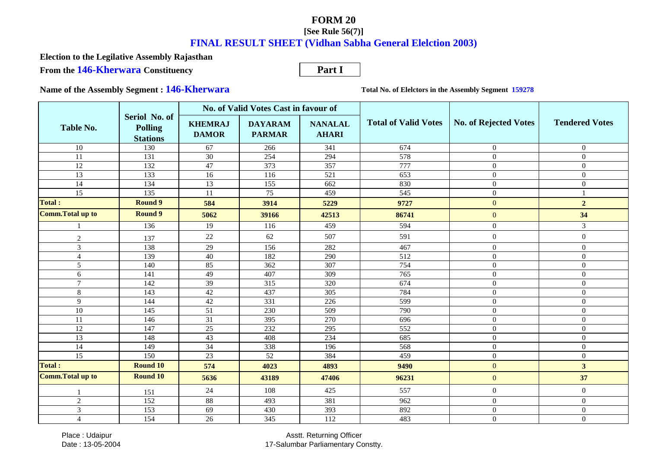**From the 146-Kherwara Constituency Election to the Legilative Assembly Rajasthan**

**Part I**

**Name of the Assembly Segment : 146-Kherwara**

**Total No. of Elelctors in the Assembly Segment 159278**

|                          |                                                    | No. of Valid Votes Cast in favour of |                                 |                                |                             |                              |                       |
|--------------------------|----------------------------------------------------|--------------------------------------|---------------------------------|--------------------------------|-----------------------------|------------------------------|-----------------------|
| <b>Table No.</b>         | Seriol No. of<br><b>Polling</b><br><b>Stations</b> | <b>KHEMRAJ</b><br><b>DAMOR</b>       | <b>DAYARAM</b><br><b>PARMAR</b> | <b>NANALAL</b><br><b>AHARI</b> | <b>Total of Valid Votes</b> | <b>No. of Rejected Votes</b> | <b>Tendered Votes</b> |
| $\overline{10}$          | 130                                                | 67                                   | 266                             | $\overline{341}$               | $\overline{674}$            | $\Omega$                     | $\overline{0}$        |
| $\overline{11}$          | 131                                                | 30                                   | 254                             | 294                            | 578                         | $\overline{0}$               | $\overline{0}$        |
| 12                       | 132                                                | 47                                   | 373                             | 357                            | 777                         | $\Omega$                     | $\boldsymbol{0}$      |
| 13                       | 133                                                | 16                                   | 116                             | 521                            | 653                         | $\overline{0}$               | $\boldsymbol{0}$      |
| 14                       | 134                                                | 13                                   | 155                             | 662                            | 830                         | $\overline{0}$               | $\overline{0}$        |
| 15                       | 135                                                | 11                                   | 75                              | 459                            | 545                         | $\Omega$                     |                       |
| Total :                  | <b>Round 9</b>                                     | 584                                  | 3914                            | 5229                           | 9727                        | $\overline{0}$               | $\overline{2}$        |
| <b>Comm. Total up to</b> | <b>Round 9</b>                                     | 5062                                 | 39166                           | 42513                          | 86741                       | $\overline{0}$               | 34                    |
|                          | 136                                                | 19                                   | 116                             | 459                            | 594                         | $\overline{0}$               | $\overline{3}$        |
| $\overline{2}$           | 137                                                | 22                                   | 62                              | 507                            | 591                         | $\overline{0}$               | $\overline{0}$        |
| $\overline{3}$           | 138                                                | 29                                   | 156                             | 282                            | 467                         | $\overline{0}$               | $\overline{0}$        |
| $\overline{4}$           | 139                                                | 40                                   | 182                             | 290                            | 512                         | $\overline{0}$               | $\boldsymbol{0}$      |
| 5                        | 140                                                | 85                                   | 362                             | 307                            | 754                         | $\overline{0}$               | $\overline{0}$        |
| 6                        | 141                                                | 49                                   | 407                             | 309                            | 765                         | $\overline{0}$               | $\boldsymbol{0}$      |
| $\overline{7}$           | 142                                                | 39                                   | 315                             | 320                            | 674                         | $\Omega$                     | $\Omega$              |
| 8                        | 143                                                | 42                                   | 437                             | 305                            | 784                         | $\overline{0}$               | $\overline{0}$        |
| 9                        | 144                                                | 42                                   | $\overline{331}$                | 226                            | 599                         | $\boldsymbol{0}$             | $\boldsymbol{0}$      |
| 10                       | 145                                                | 51                                   | 230                             | 509                            | 790                         | $\overline{0}$               | $\overline{0}$        |
| 11                       | 146                                                | 31                                   | 395                             | 270                            | 696                         | $\Omega$                     | $\overline{0}$        |
| 12                       | 147                                                | 25                                   | 232                             | 295                            | 552                         | $\overline{0}$               | $\overline{0}$        |
| $\overline{13}$          | 148                                                | 43                                   | 408                             | 234                            | 685                         | $\overline{0}$               | $\boldsymbol{0}$      |
| 14                       | 149                                                | 34                                   | 338                             | 196                            | 568                         | $\Omega$                     | $\overline{0}$        |
| 15                       | 150                                                | 23                                   | 52                              | 384                            | 459                         | $\overline{0}$               | $\boldsymbol{0}$      |
| <b>Total:</b>            | <b>Round 10</b>                                    | 574                                  | 4023                            | 4893                           | 9490                        | $\overline{0}$               | 3 <sup>1</sup>        |
| <b>Comm. Total up to</b> | <b>Round 10</b>                                    | 5636                                 | 43189                           | 47406                          | 96231                       | $\overline{0}$               | 37                    |
|                          | 151                                                | 24                                   | 108                             | 425                            | 557                         | $\overline{0}$               | $\overline{0}$        |
| $\overline{2}$           | 152                                                | 88                                   | 493                             | 381                            | 962                         | $\overline{0}$               | $\overline{0}$        |
| 3                        | 153                                                | 69                                   | 430                             | 393                            | 892                         | $\Omega$                     | $\boldsymbol{0}$      |
| $\overline{4}$           | 154                                                | 26                                   | 345                             | 112                            | 483                         | $\overline{0}$               | $\overline{0}$        |